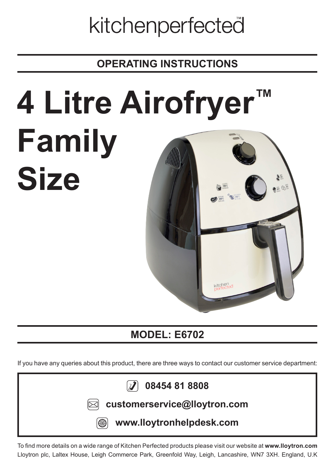## kitchenperfected

**OPERATING INSTRUCTIONS**

# **4 Litre Airofryer™ Family Size**



## **MODEL: E6702**

If you have any queries about this product, there are three ways to contact our customer service department:



To find more details on a wide range of Kitchen Perfected products please visit our website at **www.lloytron.com** Lloytron plc, Laltex House, Leigh Commerce Park, Greenfold Way, Leigh, Lancashire, WN7 3XH. England, U.K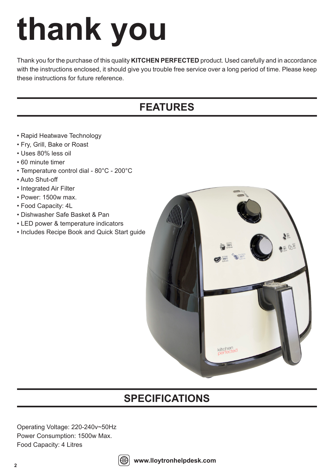## **thank you**

Thank you for the purchase of this quality **KITCHEN PERFECTED** product. Used carefully and in accordance with the instructions enclosed, it should give you trouble free service over a long period of time. Please keep these instructions for future reference.

## **FEATURES**

- Rapid Heatwave Technology
- Fry, Grill, Bake or Roast
- Uses 80% less oil
- 60 minute timer
- Temperature control dial 80°C 200°C
- Auto Shut-off
- Integrated Air Filter
- Power: 1500w max.
- Food Capacity: 4L
- Dishwasher Safe Basket & Pan
- LED power & temperature indicators
- Includes Recipe Book and Quick Start guide



## **SPECIFICATIONS**

Operating Voltage: 220-240v~50Hz Power Consumption: 1500w Max. Food Capacity: 4 Litres

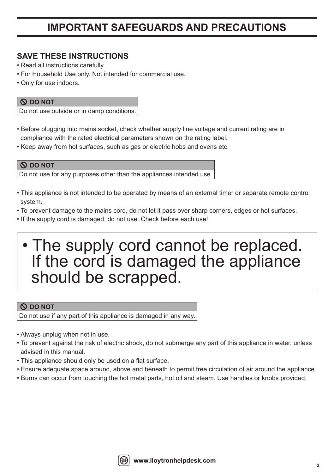## **IMPORTANT SAFEGUARDS AND PRECAUTIONS**

#### **SAVE THESE INSTRUCTIONS**

- Read all instructions carefully
- For Household Use only. Not intended for commercial use.
- Only for use indoors.

#### **DO NOT**

Do not use outside or in damp conditions.

- Before plugging into mains socket, check whether supply line voltage and current rating are in compliance with the rated electrical parameters shown on the rating label.
- Keep away from hot surfaces, such as gas or electric hobs and ovens etc.

#### **DO NOT** Do not use for any purposes other than the appliances intended use.

- This appliance is not intended to be operated by means of an external timer or separate remote control system.
- To prevent damage to the mains cord, do not let it pass over sharp corners, edges or hot surfaces.
- If the supply cord is damaged, do not use. Check before each use!

## • The supply cord cannot be replaced. If the cord is damaged the appliance should be scrapped.

#### **DO NOT**

Do not use if any part of this appliance is damaged in any way.

- Always unplug when not in use.
- To prevent against the risk of electric shock, do not submerge any part of this appliance in water, unless advised in this manual.
- This appliance should only be used on a flat surface.
- Ensure adequate space around, above and beneath to permit free circulation of air around the appliance.
- Burns can occur from touching the hot metal parts, hot oil and steam. Use handles or knobs provided.

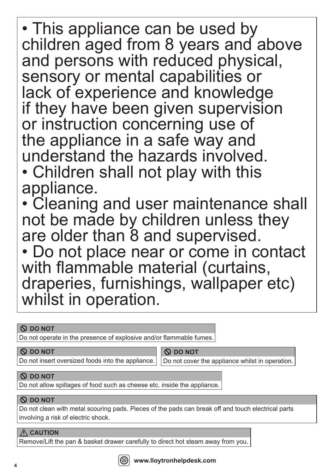• This appliance can be used by children aged from 8 years and above and persons with reduced physical, sensory or mental capabilities or lack of experience and knowledge if they have been given supervision or instruction concerning use of the appliance in a safe way and understand the hazards involved. • Children shall not play with this appliance.

• Cleaning and user maintenance shall not be made by children unless they are older than 8 and supervised.

• Do not place near or come in contact with flammable material (curtains, draperies, furnishings, wallpaper etc) whilst in operation.

#### **DO NOT**

Do not operate in the presence of explosive and/or flammable fumes.

#### **DO NOT**

Do not insert oversized foods into the appliance.

 **DO NOT**

Do not cover the appliance whilst in operation.

#### **DO NOT**

Do not allow spillages of food such as cheese etc. inside the appliance.

#### **DO NOT**

Do not clean with metal scouring pads. Pieces of the pads can break off and touch electrical parts involving a risk of electric shock.

#### **CAUTION**

Remove/Lift the pan & basket drawer carefully to direct hot steam away from you.

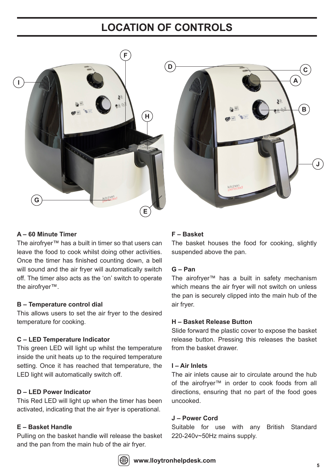## **LOCATION OF CONTROLS**





#### **A – 60 Minute Timer**

The airofryer™ has a built in timer so that users can leave the food to cook whilst doing other activities. Once the timer has finished counting down, a bell will sound and the air fryer will automatically switch off. The timer also acts as the 'on' switch to operate the airofryer™.

#### **B – Temperature control dial**

This allows users to set the air fryer to the desired temperature for cooking.

#### **C – LED Temperature Indicator**

This green LED will light up whilst the temperature inside the unit heats up to the required temperature setting. Once it has reached that temperature, the LED light will automatically switch off.

#### **D – LED Power Indicator**

This Red LED will light up when the timer has been activated, indicating that the air fryer is operational.

#### **E – Basket Handle**

Pulling on the basket handle will release the basket and the pan from the main hub of the air fryer.

#### **F – Basket**

The basket houses the food for cooking, slightly suspended above the pan.

#### **G – Pan**

The airofryer™ has a built in safety mechanism which means the air fryer will not switch on unless the pan is securely clipped into the main hub of the air fryer.

#### **H – Basket Release Button**

Slide forward the plastic cover to expose the basket release button. Pressing this releases the basket from the basket drawer.

#### **I – Air Inlets**

The air inlets cause air to circulate around the hub of the airofryer™ in order to cook foods from all directions, ensuring that no part of the food goes uncooked.

#### **J – Power Cord**

Suitable for use with any British Standard 220-240v~50Hz mains supply.

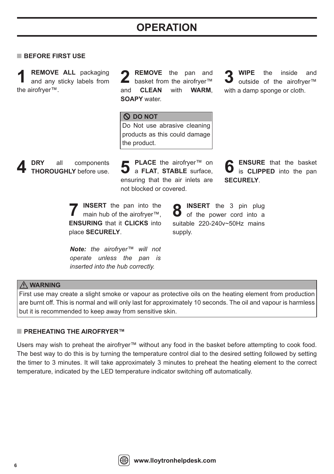## **OPERATION**

#### **BEFORE FIRST USE**

and any sticky labels from the airofryer™. **1**

**REMOVE** the pan and **REMOVE ALL** packaging 2 **REMOVE** the pan and 3<br>and any sticky labels from 2 basket from the airofryer™ 3 and **CLEAN** with **WARM**, **SOAPY** water.

**WIPE** the inside and outside of the airofryer™ with a damp sponge or cloth.

 **DO NOT** Do Not use abrasive cleaning products as this could damage the product.

**PLACE** the airofryer™ on a **FLAT**, **STABLE** surface, **5 6 DRY** all components **4 THOROUGHLY** before use. ensuring that the air inlets are not blocked or covered.

**ENSURE** that the basket is **CLIPPED** into the pan **SECURELY**.

**INSERT** the pan into the main hub of the airofryer™, **ENSURING** that it **CLICKS** into place **SECURELY**. **7**

*Note: the airofryer™ will not operate unless the pan is inserted into the hub correctly.* 

**INSERT** the 3 pin plug **O** of the power cord into a suitable 220-240v~50Hz mains supply.

#### **WARNING**

First use may create a slight smoke or vapour as protective oils on the heating element from production are burnt off. This is normal and will only last for approximately 10 seconds. The oil and vapour is harmless but it is recommended to keep away from sensitive skin.

#### ■ **PREHEATING THE AIROFRYER™**

Users may wish to preheat the airofryer™ without any food in the basket before attempting to cook food. The best way to do this is by turning the temperature control dial to the desired setting followed by setting the timer to 3 minutes. It will take approximately 3 minutes to preheat the heating element to the correct temperature, indicated by the LED temperature indicator switching off automatically.

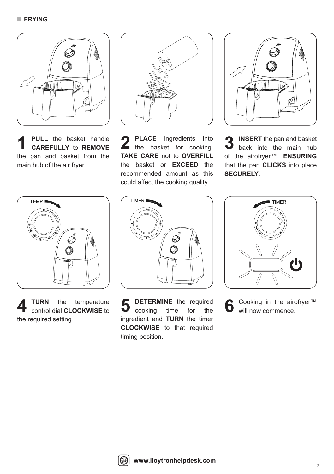

**PULL** the basket handle **CAREFULLY** to **REMOVE** the pan and basket from the main hub of the air fryer.



**TURN** the temperature the required setting.



**1 PULL** the basket handle **2 PLACE** ingredients into **CAREFULLY** to **REMOVE 1** the basket for cooking. **TAKE CARE** not to **OVERFILL** the basket or **EXCEED** the recommended amount as this could affect the cooking quality. **2 PLACE** ingredients into **3 INSERT** the pan and basket<br>the basket for cooking. **3** back into the main hub



of the airofryer™, **ENSURING** that the pan **CLICKS** into place **SECURELY**.



**4 CONTA** TURN the temperature **5** DETERMINE the required control dial CLOCKWISE to **5** cooking time for the cooking time for the ingredient and **TURN** the timer **CLOCKWISE** to that required timing position. **5** DETERMINE the required **6** Cooking in the airofryer™ cooking time for the **6** will now commence.



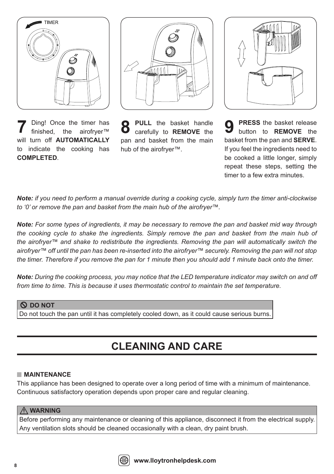

Ding! Once the timer has finished, the airofryer™ will turn off **AUTOMATICALLY** to indicate the cooking has **COMPLETED**. **7**



**PULL** the basket handle pan and basket from the main hub of the airofryer™.



**8 PULL** the basket handle **9 PRESS** the basket release carefully to **REMOVE** the **8** button to **REMOVE** the button to **REMOVE** the basket from the pan and **SERVE**. If you feel the ingredients need to be cooked a little longer, simply repeat these steps, setting the timer to a few extra minutes. **9**

*Note: if you need to perform a manual override during a cooking cycle, simply turn the timer anti-clockwise to '0' or remove the pan and basket from the main hub of the airofryer™.* 

*Note: For some types of ingredients, it may be necessary to remove the pan and basket mid way through the cooking cycle to shake the ingredients. Simply remove the pan and basket from the main hub of the airofryer™ and shake to redistribute the ingredients. Removing the pan will automatically switch the airofryer™ off until the pan has been re-inserted into the airofryer™ securely. Removing the pan will not stop the timer. Therefore if you remove the pan for 1 minute then you should add 1 minute back onto the timer.*

*Note: During the cooking process, you may notice that the LED temperature indicator may switch on and off from time to time. This is because it uses thermostatic control to maintain the set temperature.* 

#### **DO NOT**

Do not touch the pan until it has completely cooled down, as it could cause serious burns.

## **CLEANING AND CARE**

#### **MAINTENANCE**

This appliance has been designed to operate over a long period of time with a minimum of maintenance. Continuous satisfactory operation depends upon proper care and regular cleaning.

#### **WARNING**

Before performing any maintenance or cleaning of this appliance, disconnect it from the electrical supply. Any ventilation slots should be cleaned occasionally with a clean, dry paint brush.

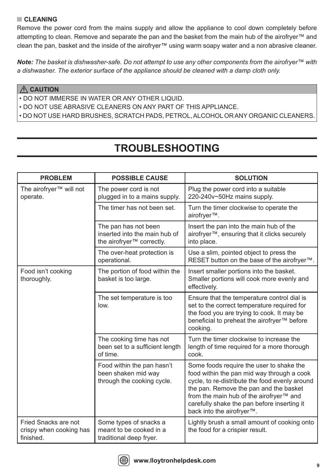#### **CLEANING**

Remove the power cord from the mains supply and allow the appliance to cool down completely before attempting to clean. Remove and separate the pan and the basket from the main hub of the airofryer™ and clean the pan, basket and the inside of the airofryer™ using warm soapy water and a non abrasive cleaner.

*Note: The basket is dishwasher-safe. Do not attempt to use any other components from the airofryer™ with a dishwasher. The exterior surface of the appliance should be cleaned with a damp cloth only.*

#### **CAUTION**

• DO NOT IMMERSE IN WATER OR ANY OTHER LIQUID.

• DO NOT USE ABRASIVE CLEANERS ON ANY PART OF THIS APPLIANCE.

• DO NOT USE HARD BRUSHES, SCRATCH PADS, PETROL, ALCOHOL OR ANY ORGANIC CLEANERS.

## **TROUBLESHOOTING**

| <b>PROBLEM</b>                                               | <b>POSSIBLE CAUSE</b>                                                                          | <b>SOLUTION</b>                                                                                                                                                                                                                                                                                           |
|--------------------------------------------------------------|------------------------------------------------------------------------------------------------|-----------------------------------------------------------------------------------------------------------------------------------------------------------------------------------------------------------------------------------------------------------------------------------------------------------|
| The airofryer <sup>™</sup> will not<br>operate.              | The power cord is not<br>plugged in to a mains supply.                                         | Plug the power cord into a suitable<br>220-240v~50Hz mains supply.                                                                                                                                                                                                                                        |
|                                                              | The timer has not been set.                                                                    | Turn the timer clockwise to operate the<br>airofryer <sup>™</sup> .                                                                                                                                                                                                                                       |
|                                                              | The pan has not been<br>inserted into the main hub of<br>the airofryer <sup>™</sup> correctly. | Insert the pan into the main hub of the<br>airofryer™, ensuring that it clicks securely<br>into place.                                                                                                                                                                                                    |
|                                                              | The over-heat protection is<br>operational.                                                    | Use a slim, pointed object to press the<br>RESET button on the base of the airofryer™.                                                                                                                                                                                                                    |
| Food isn't cooking<br>thoroughly.                            | The portion of food within the<br>basket is too large.                                         | Insert smaller portions into the basket.<br>Smaller portions will cook more evenly and<br>effectively.                                                                                                                                                                                                    |
|                                                              | The set temperature is too<br>low.                                                             | Ensure that the temperature control dial is<br>set to the correct temperature required for<br>the food you are trying to cook. It may be<br>beneficial to preheat the airofryer™ before<br>cooking.                                                                                                       |
|                                                              | The cooking time has not<br>been set to a sufficient length<br>of time.                        | Turn the timer clockwise to increase the<br>length of time required for a more thorough<br>cook.                                                                                                                                                                                                          |
|                                                              | Food within the pan hasn't<br>been shaken mid way<br>through the cooking cycle.                | Some foods require the user to shake the<br>food within the pan mid way through a cook<br>cycle, to re-distribute the food evenly around<br>the pan. Remove the pan and the basket<br>from the main hub of the airofryer™ and<br>carefully shake the pan before inserting it<br>back into the airofryer™. |
| Fried Snacks are not<br>crispy when cooking has<br>finished. | Some types of snacks a<br>meant to be cooked in a<br>traditional deep fryer.                   | Lightly brush a small amount of cooking onto<br>the food for a crispier result.                                                                                                                                                                                                                           |

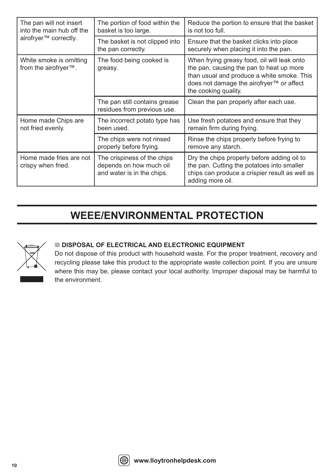| The pan will not insert<br>into the main hub off the<br>airofryer™ correctly. | The portion of food within the<br>basket is too large.                               | Reduce the portion to ensure that the basket<br>is not too full.                                                                                                                                          |
|-------------------------------------------------------------------------------|--------------------------------------------------------------------------------------|-----------------------------------------------------------------------------------------------------------------------------------------------------------------------------------------------------------|
|                                                                               | The basket is not clipped into<br>the pan correctly.                                 | Ensure that the basket clicks into place<br>securely when placing it into the pan.                                                                                                                        |
| White smoke is omitting<br>from the airofryer™.                               | The food being cooked is<br>greasy.                                                  | When frying greasy food, oil will leak onto<br>the pan, causing the pan to heat up more<br>than usual and produce a white smoke. This<br>does not damage the airofryer™ or affect<br>the cooking quality. |
|                                                                               | The pan still contains grease<br>residues from previous use.                         | Clean the pan properly after each use.                                                                                                                                                                    |
| Home made Chips are<br>not fried evenly.                                      | The incorrect potato type has<br>been used.                                          | Use fresh potatoes and ensure that they<br>remain firm during frying.                                                                                                                                     |
|                                                                               | The chips were not rinsed<br>properly before frying.                                 | Rinse the chips properly before frying to<br>remove any starch.                                                                                                                                           |
| Home made fries are not<br>crispy when fried.                                 | The crispiness of the chips<br>depends on how much oil<br>and water is in the chips. | Dry the chips properly before adding oil to<br>the pan. Cutting the potatoes into smaller<br>chips can produce a crispier result as well as<br>adding more oil.                                           |

## **WEEE/ENVIRONMENTAL PROTECTION**



#### **DISPOSAL OF ELECTRICAL AND ELECTRONIC EQUIPMENT**

Do not dispose of this product with household waste. For the proper treatment, recovery and recycling please take this product to the appropriate waste collection point. If you are unsure where this may be, please contact your local authority. Improper disposal may be harmful to the environment.

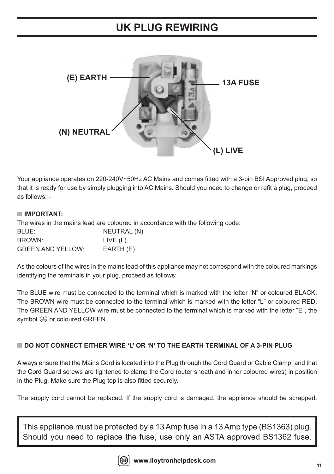### **UK PLUG REWIRING**



Your appliance operates on 220-240V~50Hz AC Mains and comes fitted with a 3-pin BSI Approved plug, so that it is ready for use by simply plugging into AC Mains. Should you need to change or refit a plug, proceed as follows: -

#### **IMPORTANT:**

The wires in the mains lead are coloured in accordance with the following code:

| BLUE:                    | NEUTRAL (N) |
|--------------------------|-------------|
| BROWN:                   | LIVE (L)    |
| <b>GREEN AND YELLOW:</b> | EARTH (E)   |

As the colours of the wires in the mains lead of this appliance may not correspond with the coloured markings identifying the terminals in your plug, proceed as follows:

The BLUE wire must be connected to the terminal which is marked with the letter "N" or coloured BLACK. The BROWN wire must be connected to the terminal which is marked with the letter "L" or coloured RED. The GREEN AND YELLOW wire must be connected to the terminal which is marked with the letter "E", the symbol  $\bigoplus$  or coloured GREEN.

#### **DO NOT CONNECT EITHER WIRE 'L' OR 'N' TO THE EARTH TERMINAL OF A 3-PIN PLUG**

Always ensure that the Mains Cord is located into the Plug through the Cord Guard or Cable Clamp, and that the Cord Guard screws are tightened to clamp the Cord (outer sheath and inner coloured wires) in position in the Plug. Make sure the Plug top is also fitted securely.

The supply cord cannot be replaced. If the supply cord is damaged, the appliance should be scrapped.

This appliance must be protected by a 13 Amp fuse in a 13 Amp type (BS1363) plug. Should you need to replace the fuse, use only an ASTA approved BS1362 fuse.